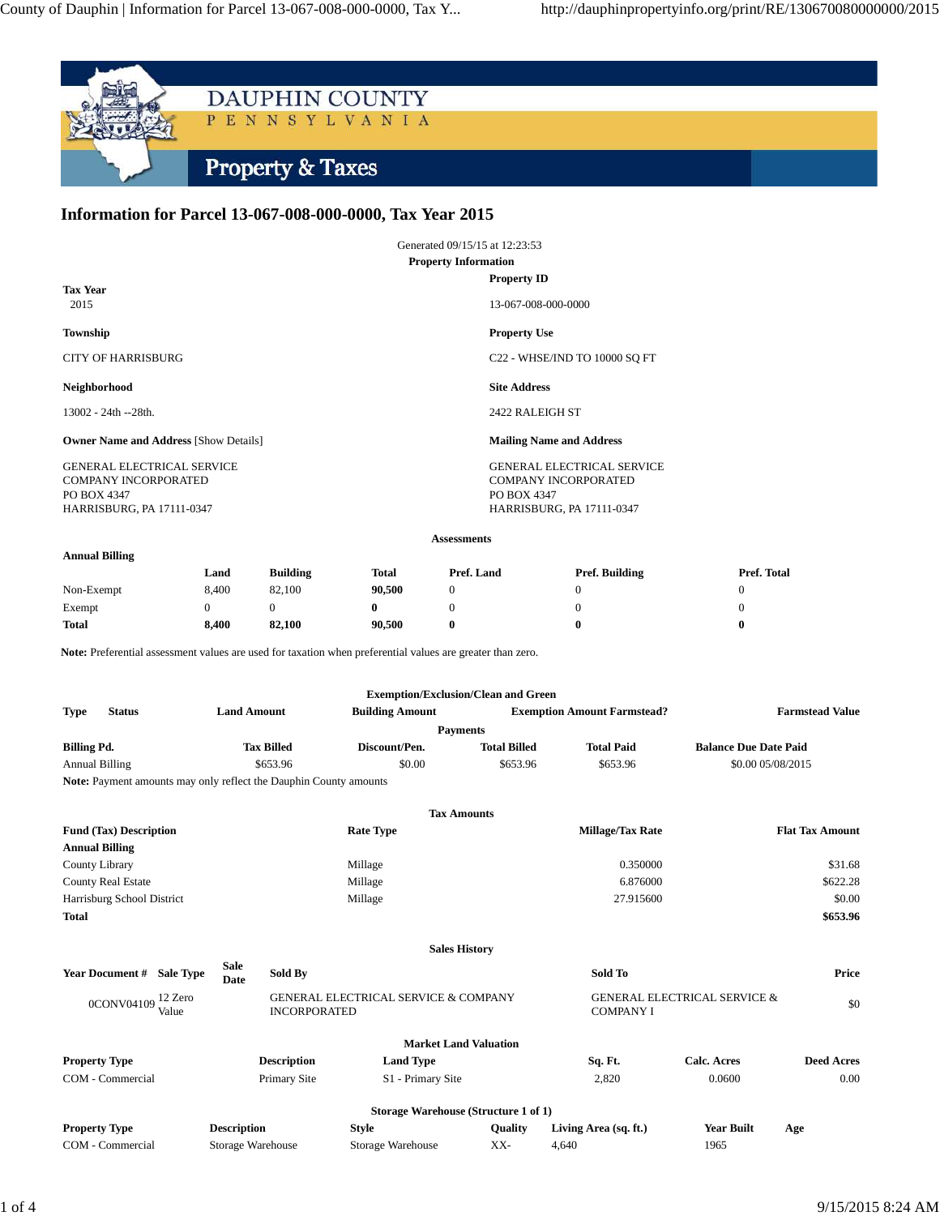

## **Information for Parcel 13-067-008-000-0000, Tax Year 2015**

| Generated 09/15/15 at 12:23:53                                                                               |                                                                                                              |
|--------------------------------------------------------------------------------------------------------------|--------------------------------------------------------------------------------------------------------------|
| <b>Property Information</b>                                                                                  |                                                                                                              |
| <b>Tax Year</b><br>2015                                                                                      | <b>Property ID</b><br>13-067-008-000-0000                                                                    |
| Township                                                                                                     | <b>Property Use</b>                                                                                          |
| <b>CITY OF HARRISBURG</b>                                                                                    | C22 - WHSE/IND TO 10000 SO FT                                                                                |
| Neighborhood                                                                                                 | <b>Site Address</b>                                                                                          |
| 13002 - 24th --28th.                                                                                         | 2422 RALEIGH ST                                                                                              |
| <b>Owner Name and Address [Show Details]</b>                                                                 | <b>Mailing Name and Address</b>                                                                              |
| <b>GENERAL ELECTRICAL SERVICE</b><br><b>COMPANY INCORPORATED</b><br>PO BOX 4347<br>HARRISBURG, PA 17111-0347 | <b>GENERAL ELECTRICAL SERVICE</b><br><b>COMPANY INCORPORATED</b><br>PO BOX 4347<br>HARRISBURG, PA 17111-0347 |

## **Assessments**

## **Annual Billing**

| . .          | Land  | <b>Building</b> | Total  | Pref. Land | Pref. Building | Pref. Total |
|--------------|-------|-----------------|--------|------------|----------------|-------------|
|              |       |                 |        |            |                |             |
| Non-Exempt   | 8.400 | 82,100          | 90,500 |            |                |             |
| Exempt       |       |                 |        |            |                |             |
| <b>Total</b> | 8.400 | 82.100          | 90.500 | 0          | 0              |             |

Note: Preferential assessment values are used for taxation when preferential values are greater than zero.

|                              |                                                                          |                        | <b>Exemption/Exclusion/Clean and Green</b> |                   |                              |  |
|------------------------------|--------------------------------------------------------------------------|------------------------|--------------------------------------------|-------------------|------------------------------|--|
| <b>Type</b><br><b>Status</b> | <b>Land Amount</b>                                                       | <b>Building Amount</b> | <b>Exemption Amount Farmstead?</b>         |                   | <b>Farmstead Value</b>       |  |
| <b>Payments</b>              |                                                                          |                        |                                            |                   |                              |  |
| <b>Billing Pd.</b>           | <b>Tax Billed</b>                                                        | Discount/Pen.          | <b>Total Billed</b>                        | <b>Total Paid</b> | <b>Balance Due Date Paid</b> |  |
| <b>Annual Billing</b>        | \$653.96                                                                 | \$0.00                 | \$653.96                                   | \$653.96          | \$0.00 05/08/2015            |  |
|                              | <b>Note:</b> Payment amounts may only reflect the Dauphin County amounts |                        |                                            |                   |                              |  |

|                                            |                     |                    | <b>Tax Amounts</b>                                                     |                |                       |                                         |                        |
|--------------------------------------------|---------------------|--------------------|------------------------------------------------------------------------|----------------|-----------------------|-----------------------------------------|------------------------|
| <b>Fund (Tax) Description</b>              |                     |                    | <b>Rate Type</b><br><b>Millage/Tax Rate</b>                            |                |                       |                                         | <b>Flat Tax Amount</b> |
| <b>Annual Billing</b>                      |                     |                    |                                                                        |                |                       |                                         |                        |
| County Library                             |                     |                    | Millage                                                                |                | 0.350000              |                                         | \$31.68                |
| <b>County Real Estate</b>                  |                     |                    | Millage                                                                |                | 6.876000              |                                         | \$622.28               |
| Harrisburg School District                 |                     |                    | Millage                                                                |                | 27.915600             |                                         | \$0.00                 |
| <b>Total</b>                               |                     |                    |                                                                        |                |                       |                                         | \$653.96               |
|                                            |                     |                    | <b>Sales History</b>                                                   |                |                       |                                         |                        |
| <b>Year Document #</b><br><b>Sale Type</b> | <b>Sale</b><br>Date | Sold By            |                                                                        | Sold To        |                       | Price                                   |                        |
| 12 Zero<br>0CONV04109<br>Value             |                     |                    | <b>GENERAL ELECTRICAL SERVICE &amp; COMPANY</b><br><b>INCORPORATED</b> |                | <b>COMPANY I</b>      | <b>GENERAL ELECTRICAL SERVICE &amp;</b> | \$0                    |
|                                            |                     |                    | <b>Market Land Valuation</b>                                           |                |                       |                                         |                        |
| <b>Property Type</b>                       |                     | <b>Description</b> | <b>Land Type</b>                                                       |                | Sq. Ft.               | <b>Calc. Acres</b>                      | <b>Deed Acres</b>      |
| COM - Commercial                           |                     | Primary Site       | S1 - Primary Site                                                      |                | 2,820                 | 0.0600                                  | 0.00                   |
|                                            |                     |                    | Storage Warehouse (Structure 1 of 1)                                   |                |                       |                                         |                        |
| <b>Property Type</b>                       | <b>Description</b>  |                    | Style                                                                  | <b>Quality</b> | Living Area (sq. ft.) | <b>Year Built</b>                       | Age                    |
| COM - Commercial                           |                     | Storage Warehouse  | Storage Warehouse                                                      | XX-            | 4,640                 | 1965                                    |                        |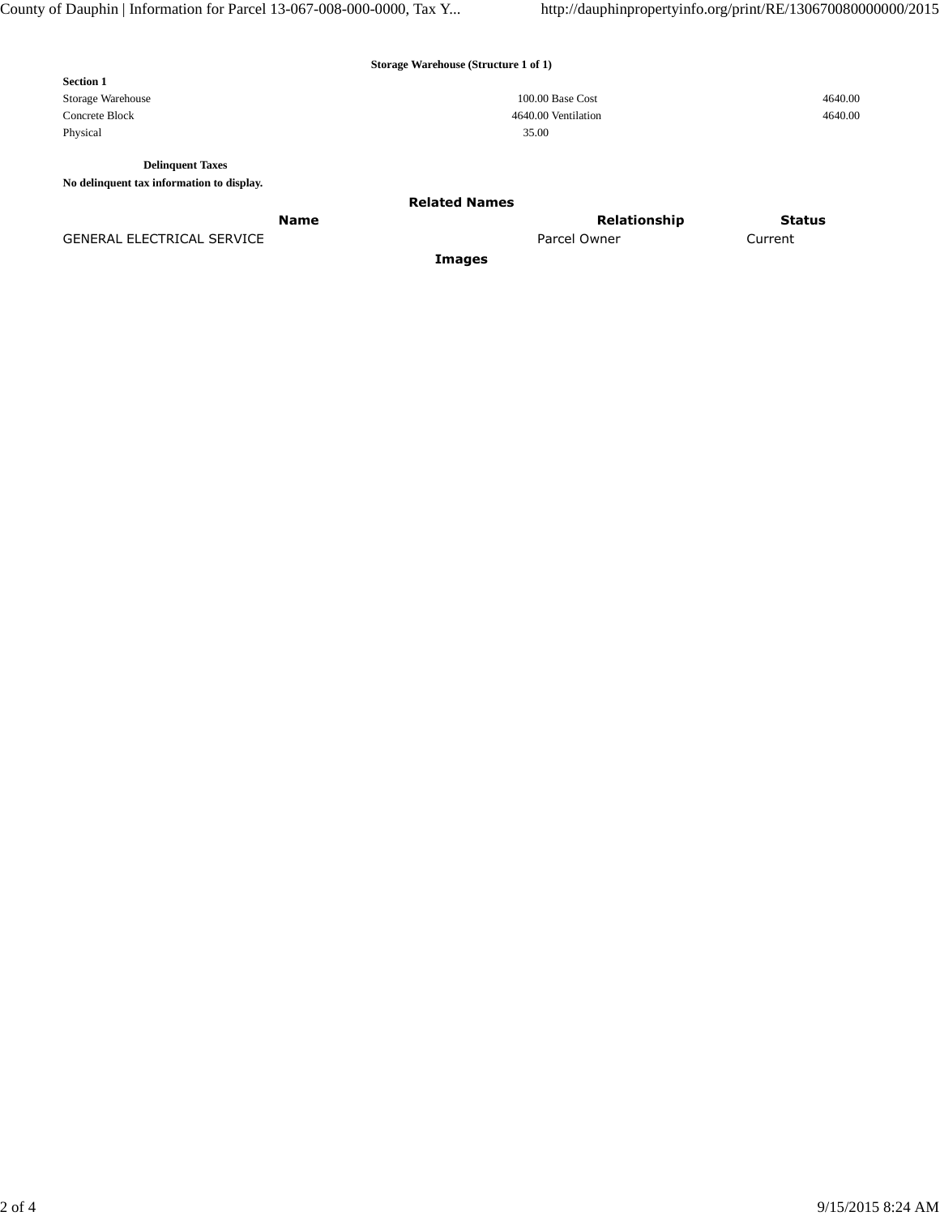**Storage Warehouse (Structure 1 of 1)**

| <b>Section 1</b>  |                     |         |
|-------------------|---------------------|---------|
| Storage Warehouse | 100.00 Base Cost    | 4640.00 |
| Concrete Block    | 4640.00 Ventilation | 4640.00 |
| Physical          | 35.00               |         |

**Delinquent Taxes**

**No delinquent tax information to display.**

**Related Names**

GENERAL ELECTRICAL SERVICE **A CULTUS** Current Current Parcel Owner Parcel Owner Current

**Images**

**Name** Status **Relationship** Status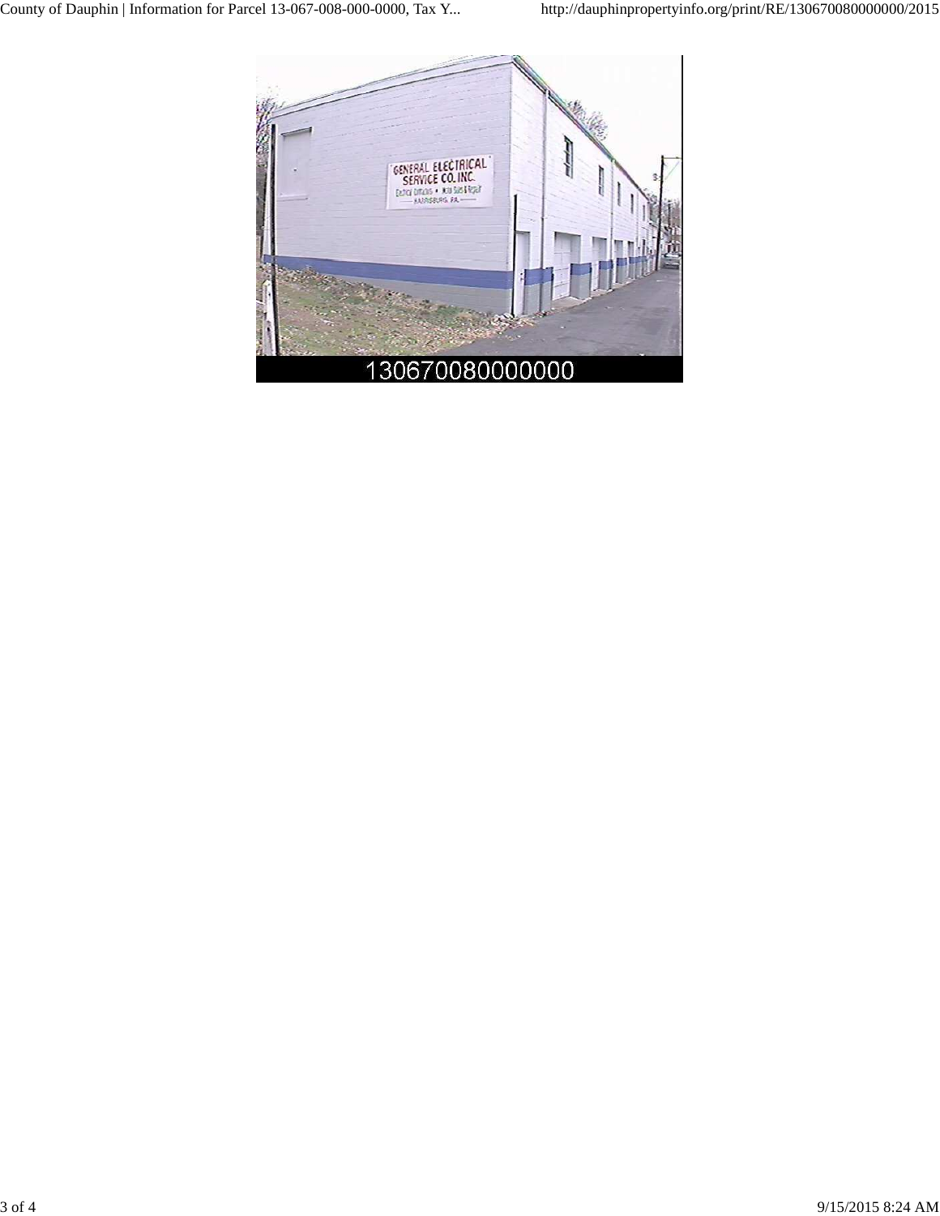